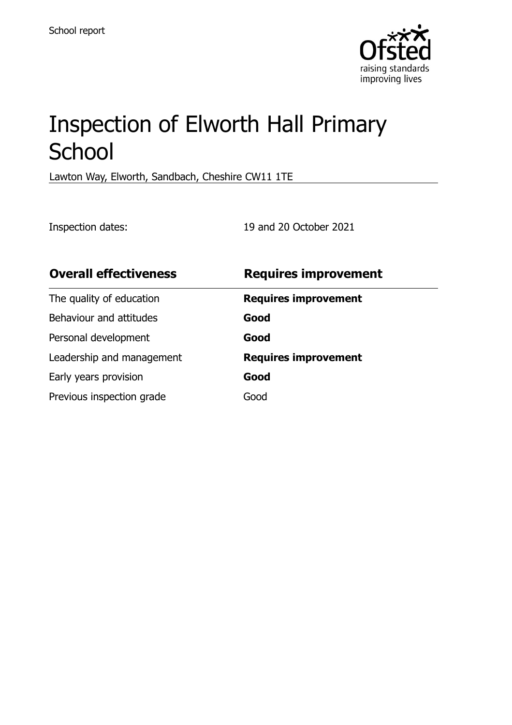

# Inspection of Elworth Hall Primary **School**

Lawton Way, Elworth, Sandbach, Cheshire CW11 1TE

Inspection dates: 19 and 20 October 2021

| <b>Overall effectiveness</b> | <b>Requires improvement</b> |
|------------------------------|-----------------------------|
| The quality of education     | <b>Requires improvement</b> |
| Behaviour and attitudes      | Good                        |
| Personal development         | Good                        |
| Leadership and management    | <b>Requires improvement</b> |
| Early years provision        | Good                        |
| Previous inspection grade    | Good                        |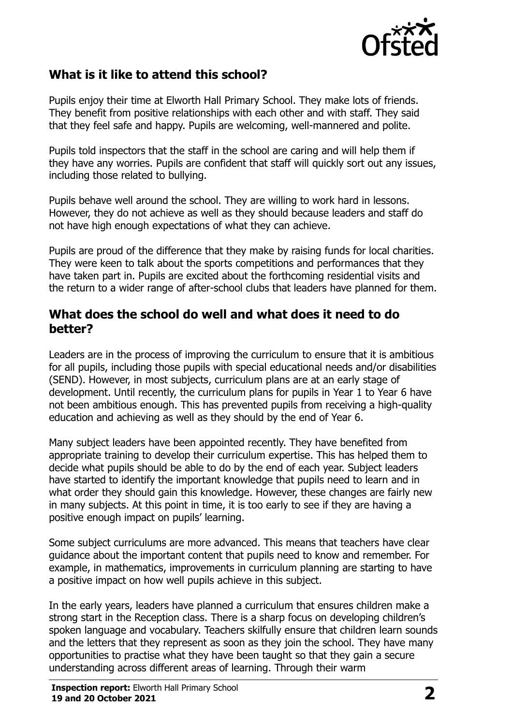

#### **What is it like to attend this school?**

Pupils enjoy their time at Elworth Hall Primary School. They make lots of friends. They benefit from positive relationships with each other and with staff. They said that they feel safe and happy. Pupils are welcoming, well-mannered and polite.

Pupils told inspectors that the staff in the school are caring and will help them if they have any worries. Pupils are confident that staff will quickly sort out any issues, including those related to bullying.

Pupils behave well around the school. They are willing to work hard in lessons. However, they do not achieve as well as they should because leaders and staff do not have high enough expectations of what they can achieve.

Pupils are proud of the difference that they make by raising funds for local charities. They were keen to talk about the sports competitions and performances that they have taken part in. Pupils are excited about the forthcoming residential visits and the return to a wider range of after-school clubs that leaders have planned for them.

#### **What does the school do well and what does it need to do better?**

Leaders are in the process of improving the curriculum to ensure that it is ambitious for all pupils, including those pupils with special educational needs and/or disabilities (SEND). However, in most subjects, curriculum plans are at an early stage of development. Until recently, the curriculum plans for pupils in Year 1 to Year 6 have not been ambitious enough. This has prevented pupils from receiving a high-quality education and achieving as well as they should by the end of Year 6.

Many subject leaders have been appointed recently. They have benefited from appropriate training to develop their curriculum expertise. This has helped them to decide what pupils should be able to do by the end of each year. Subject leaders have started to identify the important knowledge that pupils need to learn and in what order they should gain this knowledge. However, these changes are fairly new in many subjects. At this point in time, it is too early to see if they are having a positive enough impact on pupils' learning.

Some subject curriculums are more advanced. This means that teachers have clear guidance about the important content that pupils need to know and remember. For example, in mathematics, improvements in curriculum planning are starting to have a positive impact on how well pupils achieve in this subject.

In the early years, leaders have planned a curriculum that ensures children make a strong start in the Reception class. There is a sharp focus on developing children's spoken language and vocabulary. Teachers skilfully ensure that children learn sounds and the letters that they represent as soon as they join the school. They have many opportunities to practise what they have been taught so that they gain a secure understanding across different areas of learning. Through their warm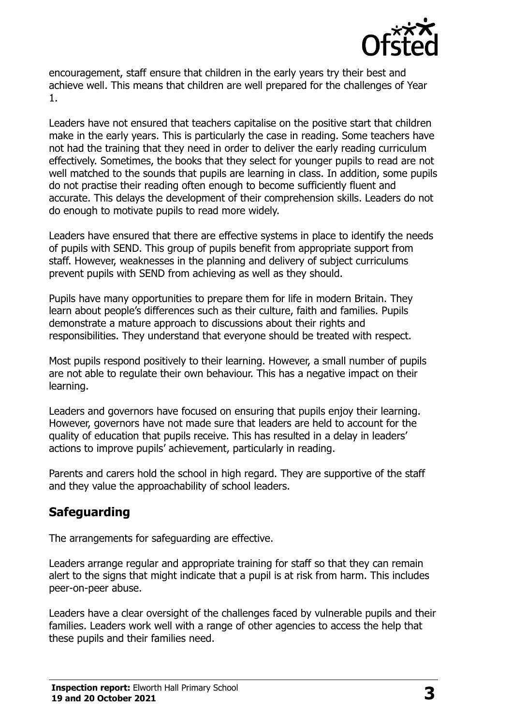

encouragement, staff ensure that children in the early years try their best and achieve well. This means that children are well prepared for the challenges of Year 1.

Leaders have not ensured that teachers capitalise on the positive start that children make in the early years. This is particularly the case in reading. Some teachers have not had the training that they need in order to deliver the early reading curriculum effectively. Sometimes, the books that they select for younger pupils to read are not well matched to the sounds that pupils are learning in class. In addition, some pupils do not practise their reading often enough to become sufficiently fluent and accurate. This delays the development of their comprehension skills. Leaders do not do enough to motivate pupils to read more widely.

Leaders have ensured that there are effective systems in place to identify the needs of pupils with SEND. This group of pupils benefit from appropriate support from staff. However, weaknesses in the planning and delivery of subject curriculums prevent pupils with SEND from achieving as well as they should.

Pupils have many opportunities to prepare them for life in modern Britain. They learn about people's differences such as their culture, faith and families. Pupils demonstrate a mature approach to discussions about their rights and responsibilities. They understand that everyone should be treated with respect.

Most pupils respond positively to their learning. However, a small number of pupils are not able to regulate their own behaviour. This has a negative impact on their learning.

Leaders and governors have focused on ensuring that pupils enjoy their learning. However, governors have not made sure that leaders are held to account for the quality of education that pupils receive. This has resulted in a delay in leaders' actions to improve pupils' achievement, particularly in reading.

Parents and carers hold the school in high regard. They are supportive of the staff and they value the approachability of school leaders.

## **Safeguarding**

The arrangements for safeguarding are effective.

Leaders arrange regular and appropriate training for staff so that they can remain alert to the signs that might indicate that a pupil is at risk from harm. This includes peer-on-peer abuse.

Leaders have a clear oversight of the challenges faced by vulnerable pupils and their families. Leaders work well with a range of other agencies to access the help that these pupils and their families need.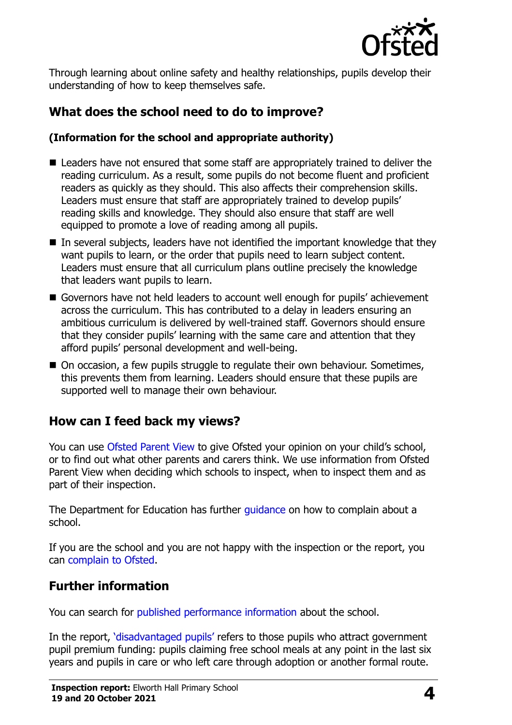

Through learning about online safety and healthy relationships, pupils develop their understanding of how to keep themselves safe.

# **What does the school need to do to improve?**

#### **(Information for the school and appropriate authority)**

- Leaders have not ensured that some staff are appropriately trained to deliver the reading curriculum. As a result, some pupils do not become fluent and proficient readers as quickly as they should. This also affects their comprehension skills. Leaders must ensure that staff are appropriately trained to develop pupils' reading skills and knowledge. They should also ensure that staff are well equipped to promote a love of reading among all pupils.
- $\blacksquare$  In several subjects, leaders have not identified the important knowledge that they want pupils to learn, or the order that pupils need to learn subject content. Leaders must ensure that all curriculum plans outline precisely the knowledge that leaders want pupils to learn.
- Governors have not held leaders to account well enough for pupils' achievement across the curriculum. This has contributed to a delay in leaders ensuring an ambitious curriculum is delivered by well-trained staff. Governors should ensure that they consider pupils' learning with the same care and attention that they afford pupils' personal development and well-being.
- On occasion, a few pupils struggle to regulate their own behaviour. Sometimes, this prevents them from learning. Leaders should ensure that these pupils are supported well to manage their own behaviour.

## **How can I feed back my views?**

You can use [Ofsted Parent View](http://parentview.ofsted.gov.uk/) to give Ofsted your opinion on your child's school, or to find out what other parents and carers think. We use information from Ofsted Parent View when deciding which schools to inspect, when to inspect them and as part of their inspection.

The Department for Education has further [guidance](http://www.gov.uk/complain-about-school) on how to complain about a school.

If you are the school and you are not happy with the inspection or the report, you can [complain to Ofsted.](http://www.gov.uk/complain-ofsted-report)

## **Further information**

You can search for [published performance information](http://www.compare-school-performance.service.gov.uk/) about the school.

In the report, '[disadvantaged pupils](http://www.gov.uk/guidance/pupil-premium-information-for-schools-and-alternative-provision-settings)' refers to those pupils who attract government pupil premium funding: pupils claiming free school meals at any point in the last six years and pupils in care or who left care through adoption or another formal route.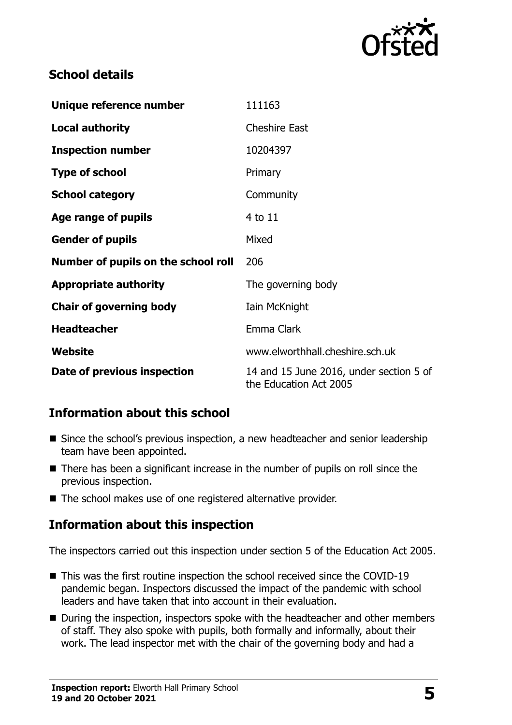

## **School details**

| Unique reference number             | 111163                                                            |
|-------------------------------------|-------------------------------------------------------------------|
| <b>Local authority</b>              | <b>Cheshire East</b>                                              |
| <b>Inspection number</b>            | 10204397                                                          |
| <b>Type of school</b>               | Primary                                                           |
| <b>School category</b>              | Community                                                         |
| Age range of pupils                 | 4 to 11                                                           |
| <b>Gender of pupils</b>             | Mixed                                                             |
| Number of pupils on the school roll | 206                                                               |
| <b>Appropriate authority</b>        | The governing body                                                |
| <b>Chair of governing body</b>      | Iain McKnight                                                     |
| <b>Headteacher</b>                  | Emma Clark                                                        |
| Website                             | www.elworthhall.cheshire.sch.uk                                   |
| Date of previous inspection         | 14 and 15 June 2016, under section 5 of<br>the Education Act 2005 |

## **Information about this school**

- Since the school's previous inspection, a new headteacher and senior leadership team have been appointed.
- There has been a significant increase in the number of pupils on roll since the previous inspection.
- The school makes use of one registered alternative provider.

## **Information about this inspection**

The inspectors carried out this inspection under section 5 of the Education Act 2005.

- This was the first routine inspection the school received since the COVID-19 pandemic began. Inspectors discussed the impact of the pandemic with school leaders and have taken that into account in their evaluation.
- During the inspection, inspectors spoke with the headteacher and other members of staff. They also spoke with pupils, both formally and informally, about their work. The lead inspector met with the chair of the governing body and had a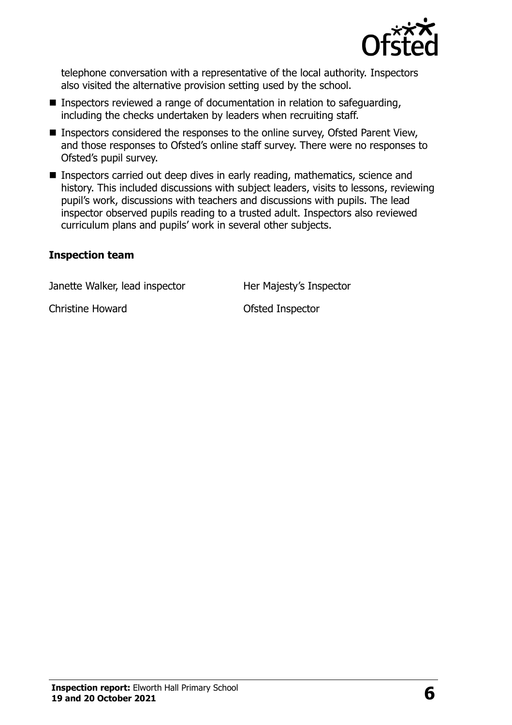

telephone conversation with a representative of the local authority. Inspectors also visited the alternative provision setting used by the school.

- Inspectors reviewed a range of documentation in relation to safeguarding, including the checks undertaken by leaders when recruiting staff.
- Inspectors considered the responses to the online survey, Ofsted Parent View, and those responses to Ofsted's online staff survey. There were no responses to Ofsted's pupil survey.
- Inspectors carried out deep dives in early reading, mathematics, science and history. This included discussions with subject leaders, visits to lessons, reviewing pupil's work, discussions with teachers and discussions with pupils. The lead inspector observed pupils reading to a trusted adult. Inspectors also reviewed curriculum plans and pupils' work in several other subjects.

#### **Inspection team**

Janette Walker, lead inspector Her Majesty's Inspector

Christine Howard **Christine Howard Christine Howard**